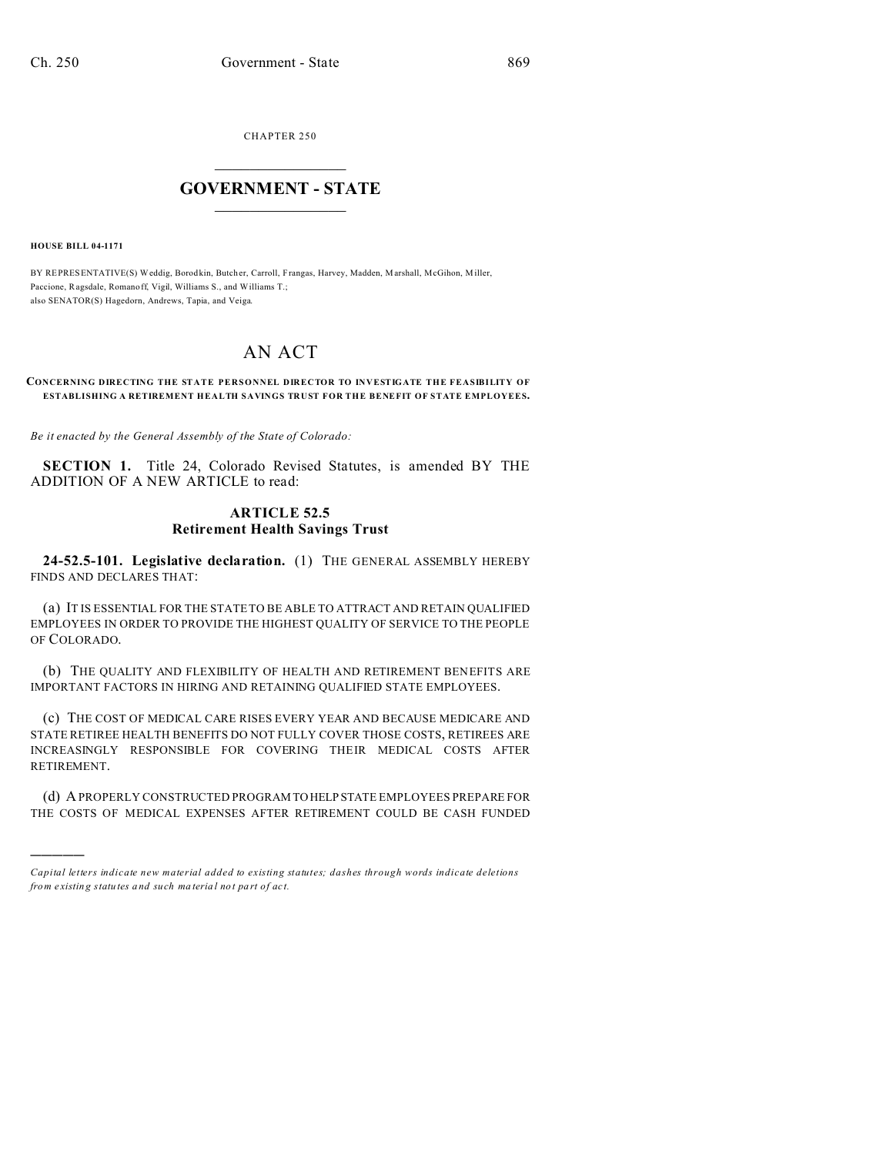CHAPTER 250  $\overline{\phantom{a}}$  , where  $\overline{\phantom{a}}$ 

## **GOVERNMENT - STATE**  $\_$   $\_$

**HOUSE BILL 04-1171**

)))))

BY REPRESENTATIVE(S) Weddig, Borod kin, Butcher, Carroll, Frangas, Harvey, Madden, Marshall, McGihon, Miller, Paccione, Ragsdale, Romano ff, Vigil, Williams S., and Williams T.; also SENATOR(S) Hagedorn, Andrews, Tapia, and Veiga.

## AN ACT

## **CONCERNING DIRECTING THE STATE PERSONNEL DIRECTOR TO INVESTIGATE THE FEASIBILITY OF ESTABLISHING A RETIREMENT HEALTH SAVINGS TRUST FOR THE BENEFIT OF STATE EMPLOYEES.**

*Be it enacted by the General Assembly of the State of Colorado:*

**SECTION 1.** Title 24, Colorado Revised Statutes, is amended BY THE ADDITION OF A NEW ARTICLE to read:

## **ARTICLE 52.5 Retirement Health Savings Trust**

**24-52.5-101. Legislative declaration.** (1) THE GENERAL ASSEMBLY HEREBY FINDS AND DECLARES THAT:

(a) IT IS ESSENTIAL FOR THE STATE TO BE ABLE TO ATTRACT AND RETAIN QUALIFIED EMPLOYEES IN ORDER TO PROVIDE THE HIGHEST QUALITY OF SERVICE TO THE PEOPLE OF COLORADO.

(b) THE QUALITY AND FLEXIBILITY OF HEALTH AND RETIREMENT BENEFITS ARE IMPORTANT FACTORS IN HIRING AND RETAINING QUALIFIED STATE EMPLOYEES.

(c) THE COST OF MEDICAL CARE RISES EVERY YEAR AND BECAUSE MEDICARE AND STATE RETIREE HEALTH BENEFITS DO NOT FULLY COVER THOSE COSTS, RETIREES ARE INCREASINGLY RESPONSIBLE FOR COVERING THEIR MEDICAL COSTS AFTER RETIREMENT.

(d) A PROPERLY CONSTRUCTED PROGRAM TO HELP STATE EMPLOYEES PREPARE FOR THE COSTS OF MEDICAL EXPENSES AFTER RETIREMENT COULD BE CASH FUNDED

*Capital letters indicate new material added to existing statutes; dashes through words indicate deletions from e xistin g statu tes a nd such ma teria l no t pa rt of ac t.*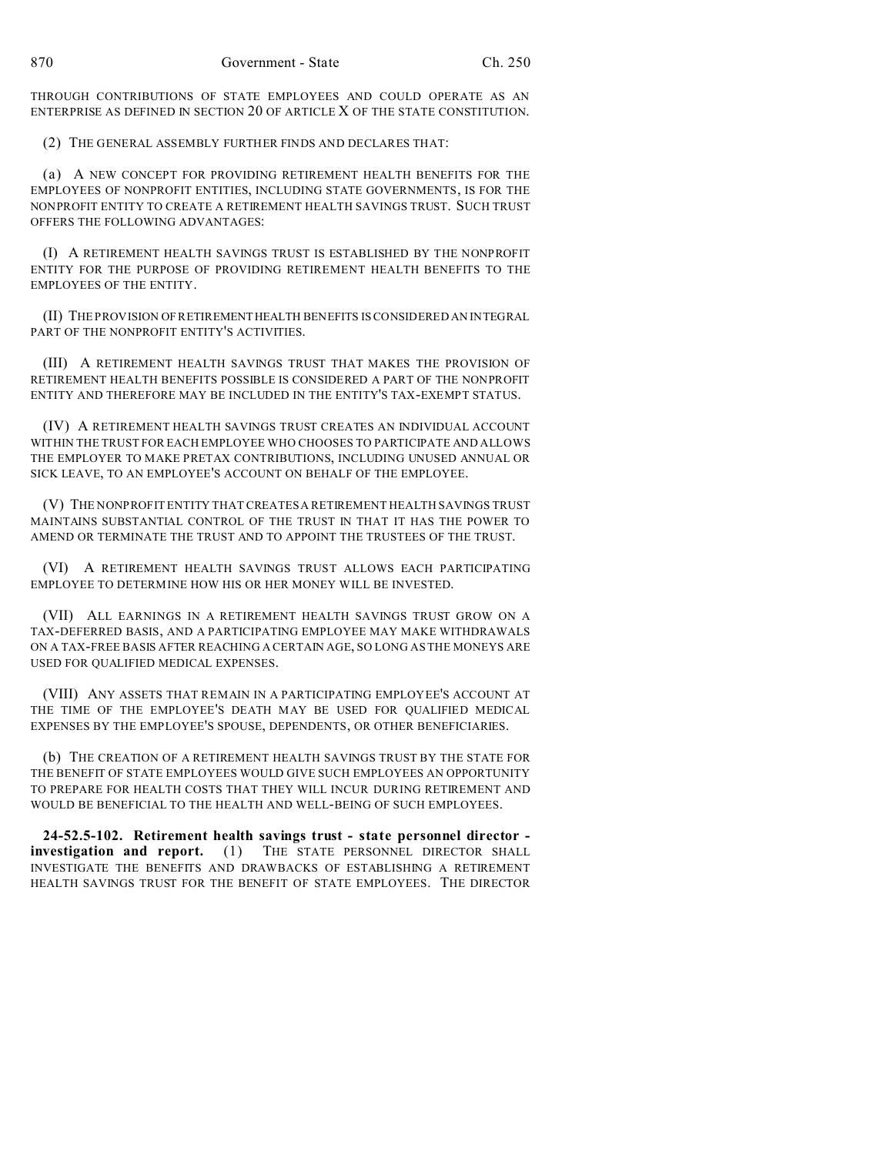THROUGH CONTRIBUTIONS OF STATE EMPLOYEES AND COULD OPERATE AS AN ENTERPRISE AS DEFINED IN SECTION 20 OF ARTICLE X OF THE STATE CONSTITUTION.

(2) THE GENERAL ASSEMBLY FURTHER FINDS AND DECLARES THAT:

(a) A NEW CONCEPT FOR PROVIDING RETIREMENT HEALTH BENEFITS FOR THE EMPLOYEES OF NONPROFIT ENTITIES, INCLUDING STATE GOVERNMENTS, IS FOR THE NONPROFIT ENTITY TO CREATE A RETIREMENT HEALTH SAVINGS TRUST. SUCH TRUST OFFERS THE FOLLOWING ADVANTAGES:

(I) A RETIREMENT HEALTH SAVINGS TRUST IS ESTABLISHED BY THE NONPROFIT ENTITY FOR THE PURPOSE OF PROVIDING RETIREMENT HEALTH BENEFITS TO THE EMPLOYEES OF THE ENTITY.

(II) THE PROVISION OF RETIREMENTHEALTH BENEFITS IS CONSIDERED AN INTEGRAL PART OF THE NONPROFIT ENTITY'S ACTIVITIES.

(III) A RETIREMENT HEALTH SAVINGS TRUST THAT MAKES THE PROVISION OF RETIREMENT HEALTH BENEFITS POSSIBLE IS CONSIDERED A PART OF THE NONPROFIT ENTITY AND THEREFORE MAY BE INCLUDED IN THE ENTITY'S TAX-EXEMPT STATUS.

(IV) A RETIREMENT HEALTH SAVINGS TRUST CREATES AN INDIVIDUAL ACCOUNT WITHIN THE TRUST FOR EACH EMPLOYEE WHO CHOOSES TO PARTICIPATE AND ALLOWS THE EMPLOYER TO MAKE PRETAX CONTRIBUTIONS, INCLUDING UNUSED ANNUAL OR SICK LEAVE, TO AN EMPLOYEE'S ACCOUNT ON BEHALF OF THE EMPLOYEE.

(V) THE NONPROFIT ENTITY THAT CREATES A RETIREMENT HEALTH SAVINGS TRUST MAINTAINS SUBSTANTIAL CONTROL OF THE TRUST IN THAT IT HAS THE POWER TO AMEND OR TERMINATE THE TRUST AND TO APPOINT THE TRUSTEES OF THE TRUST.

(VI) A RETIREMENT HEALTH SAVINGS TRUST ALLOWS EACH PARTICIPATING EMPLOYEE TO DETERMINE HOW HIS OR HER MONEY WILL BE INVESTED.

(VII) ALL EARNINGS IN A RETIREMENT HEALTH SAVINGS TRUST GROW ON A TAX-DEFERRED BASIS, AND A PARTICIPATING EMPLOYEE MAY MAKE WITHDRAWALS ON A TAX-FREE BASIS AFTER REACHING A CERTAIN AGE, SO LONG AS THE MONEYS ARE USED FOR QUALIFIED MEDICAL EXPENSES.

(VIII) ANY ASSETS THAT REMAIN IN A PARTICIPATING EMPLOYEE'S ACCOUNT AT THE TIME OF THE EMPLOYEE'S DEATH MAY BE USED FOR QUALIFIED MEDICAL EXPENSES BY THE EMPLOYEE'S SPOUSE, DEPENDENTS, OR OTHER BENEFICIARIES.

(b) THE CREATION OF A RETIREMENT HEALTH SAVINGS TRUST BY THE STATE FOR THE BENEFIT OF STATE EMPLOYEES WOULD GIVE SUCH EMPLOYEES AN OPPORTUNITY TO PREPARE FOR HEALTH COSTS THAT THEY WILL INCUR DURING RETIREMENT AND WOULD BE BENEFICIAL TO THE HEALTH AND WELL-BEING OF SUCH EMPLOYEES.

**24-52.5-102. Retirement health savings trust - state personnel director investigation and report.** (1) THE STATE PERSONNEL DIRECTOR SHALL INVESTIGATE THE BENEFITS AND DRAWBACKS OF ESTABLISHING A RETIREMENT HEALTH SAVINGS TRUST FOR THE BENEFIT OF STATE EMPLOYEES. THE DIRECTOR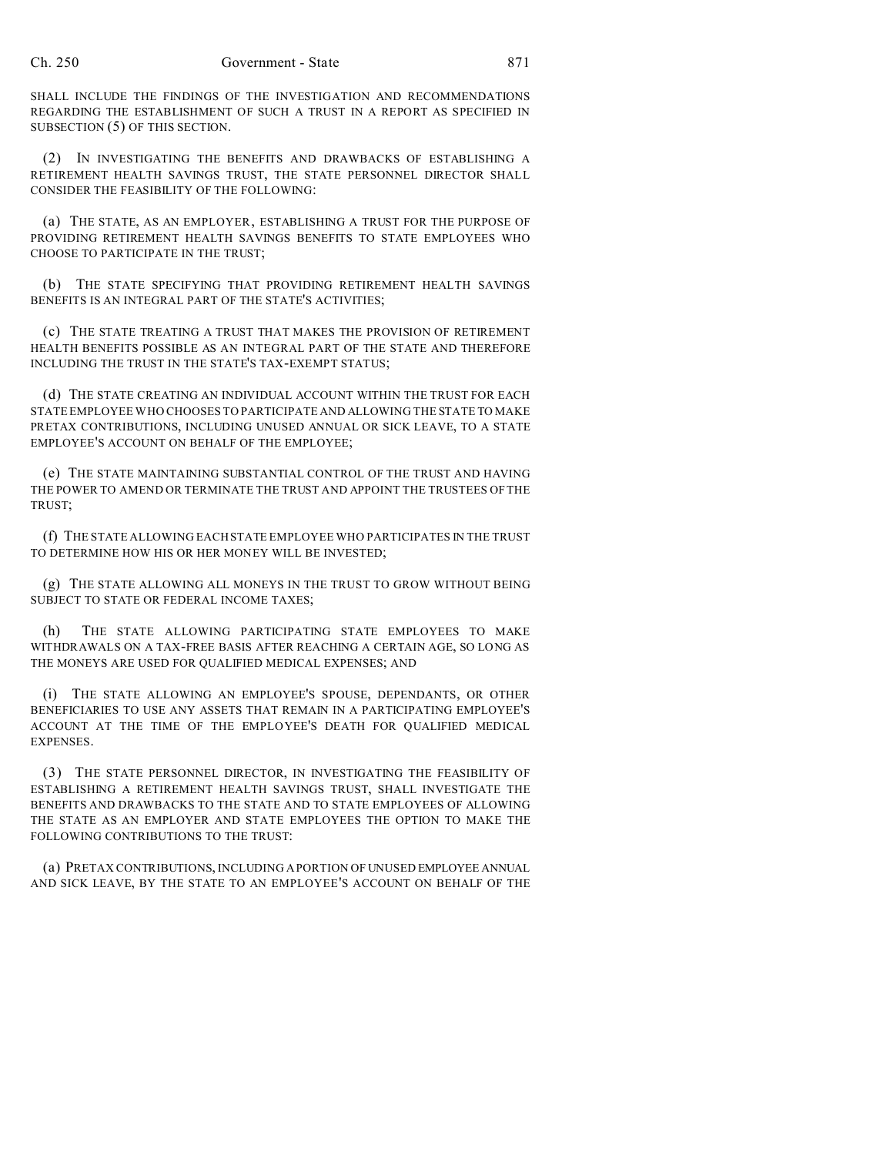SHALL INCLUDE THE FINDINGS OF THE INVESTIGATION AND RECOMMENDATIONS REGARDING THE ESTABLISHMENT OF SUCH A TRUST IN A REPORT AS SPECIFIED IN SUBSECTION (5) OF THIS SECTION.

(2) IN INVESTIGATING THE BENEFITS AND DRAWBACKS OF ESTABLISHING A RETIREMENT HEALTH SAVINGS TRUST, THE STATE PERSONNEL DIRECTOR SHALL CONSIDER THE FEASIBILITY OF THE FOLLOWING:

(a) THE STATE, AS AN EMPLOYER, ESTABLISHING A TRUST FOR THE PURPOSE OF PROVIDING RETIREMENT HEALTH SAVINGS BENEFITS TO STATE EMPLOYEES WHO CHOOSE TO PARTICIPATE IN THE TRUST;

(b) THE STATE SPECIFYING THAT PROVIDING RETIREMENT HEALTH SAVINGS BENEFITS IS AN INTEGRAL PART OF THE STATE'S ACTIVITIES;

(c) THE STATE TREATING A TRUST THAT MAKES THE PROVISION OF RETIREMENT HEALTH BENEFITS POSSIBLE AS AN INTEGRAL PART OF THE STATE AND THEREFORE INCLUDING THE TRUST IN THE STATE'S TAX-EXEMPT STATUS;

(d) THE STATE CREATING AN INDIVIDUAL ACCOUNT WITHIN THE TRUST FOR EACH STATE EMPLOYEE WHO CHOOSES TO PARTICIPATE AND ALLOWING THE STATE TO MAKE PRETAX CONTRIBUTIONS, INCLUDING UNUSED ANNUAL OR SICK LEAVE, TO A STATE EMPLOYEE'S ACCOUNT ON BEHALF OF THE EMPLOYEE;

(e) THE STATE MAINTAINING SUBSTANTIAL CONTROL OF THE TRUST AND HAVING THE POWER TO AMEND OR TERMINATE THE TRUST AND APPOINT THE TRUSTEES OF THE TRUST;

(f) THE STATE ALLOWING EACH STATE EMPLOYEE WHO PARTICIPATES IN THE TRUST TO DETERMINE HOW HIS OR HER MONEY WILL BE INVESTED;

(g) THE STATE ALLOWING ALL MONEYS IN THE TRUST TO GROW WITHOUT BEING SUBJECT TO STATE OR FEDERAL INCOME TAXES;

(h) THE STATE ALLOWING PARTICIPATING STATE EMPLOYEES TO MAKE WITHDRAWALS ON A TAX-FREE BASIS AFTER REACHING A CERTAIN AGE, SO LONG AS THE MONEYS ARE USED FOR QUALIFIED MEDICAL EXPENSES; AND

(i) THE STATE ALLOWING AN EMPLOYEE'S SPOUSE, DEPENDANTS, OR OTHER BENEFICIARIES TO USE ANY ASSETS THAT REMAIN IN A PARTICIPATING EMPLOYEE'S ACCOUNT AT THE TIME OF THE EMPLOYEE'S DEATH FOR QUALIFIED MEDICAL EXPENSES.

(3) THE STATE PERSONNEL DIRECTOR, IN INVESTIGATING THE FEASIBILITY OF ESTABLISHING A RETIREMENT HEALTH SAVINGS TRUST, SHALL INVESTIGATE THE BENEFITS AND DRAWBACKS TO THE STATE AND TO STATE EMPLOYEES OF ALLOWING THE STATE AS AN EMPLOYER AND STATE EMPLOYEES THE OPTION TO MAKE THE FOLLOWING CONTRIBUTIONS TO THE TRUST:

(a) PRETAX CONTRIBUTIONS, INCLUDING A PORTION OF UNUSED EMPLOYEE ANNUAL AND SICK LEAVE, BY THE STATE TO AN EMPLOYEE'S ACCOUNT ON BEHALF OF THE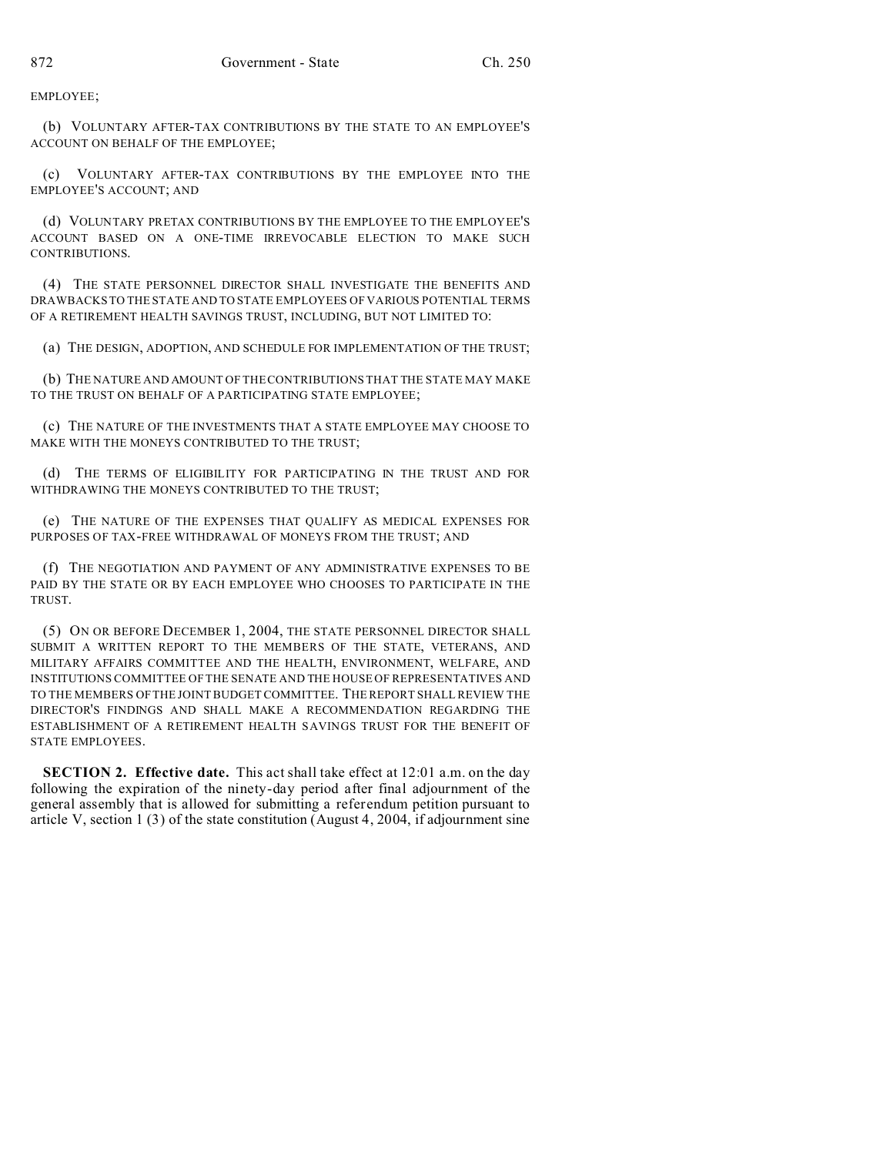EMPLOYEE;

(b) VOLUNTARY AFTER-TAX CONTRIBUTIONS BY THE STATE TO AN EMPLOYEE'S ACCOUNT ON BEHALF OF THE EMPLOYEE;

(c) VOLUNTARY AFTER-TAX CONTRIBUTIONS BY THE EMPLOYEE INTO THE EMPLOYEE'S ACCOUNT; AND

(d) VOLUNTARY PRETAX CONTRIBUTIONS BY THE EMPLOYEE TO THE EMPLOYEE'S ACCOUNT BASED ON A ONE-TIME IRREVOCABLE ELECTION TO MAKE SUCH CONTRIBUTIONS.

(4) THE STATE PERSONNEL DIRECTOR SHALL INVESTIGATE THE BENEFITS AND DRAWBACKS TO THE STATE AND TO STATE EMPLOYEES OF VARIOUS POTENTIAL TERMS OF A RETIREMENT HEALTH SAVINGS TRUST, INCLUDING, BUT NOT LIMITED TO:

(a) THE DESIGN, ADOPTION, AND SCHEDULE FOR IMPLEMENTATION OF THE TRUST;

(b) THE NATURE AND AMOUNT OF THE CONTRIBUTIONS THAT THE STATE MAY MAKE TO THE TRUST ON BEHALF OF A PARTICIPATING STATE EMPLOYEE;

(c) THE NATURE OF THE INVESTMENTS THAT A STATE EMPLOYEE MAY CHOOSE TO MAKE WITH THE MONEYS CONTRIBUTED TO THE TRUST;

(d) THE TERMS OF ELIGIBILITY FOR PARTICIPATING IN THE TRUST AND FOR WITHDRAWING THE MONEYS CONTRIBUTED TO THE TRUST;

(e) THE NATURE OF THE EXPENSES THAT QUALIFY AS MEDICAL EXPENSES FOR PURPOSES OF TAX-FREE WITHDRAWAL OF MONEYS FROM THE TRUST; AND

(f) THE NEGOTIATION AND PAYMENT OF ANY ADMINISTRATIVE EXPENSES TO BE PAID BY THE STATE OR BY EACH EMPLOYEE WHO CHOOSES TO PARTICIPATE IN THE TRUST.

(5) ON OR BEFORE DECEMBER 1, 2004, THE STATE PERSONNEL DIRECTOR SHALL SUBMIT A WRITTEN REPORT TO THE MEMBERS OF THE STATE, VETERANS, AND MILITARY AFFAIRS COMMITTEE AND THE HEALTH, ENVIRONMENT, WELFARE, AND INSTITUTIONS COMMITTEE OF THE SENATE AND THE HOUSE OF REPRESENTATIVES AND TO THE MEMBERS OF THE JOINT BUDGET COMMITTEE. THE REPORT SHALL REVIEW THE DIRECTOR'S FINDINGS AND SHALL MAKE A RECOMMENDATION REGARDING THE ESTABLISHMENT OF A RETIREMENT HEALTH SAVINGS TRUST FOR THE BENEFIT OF STATE EMPLOYEES.

**SECTION 2. Effective date.** This act shall take effect at 12:01 a.m. on the day following the expiration of the ninety-day period after final adjournment of the general assembly that is allowed for submitting a referendum petition pursuant to article V, section 1 (3) of the state constitution (August 4, 2004, if adjournment sine